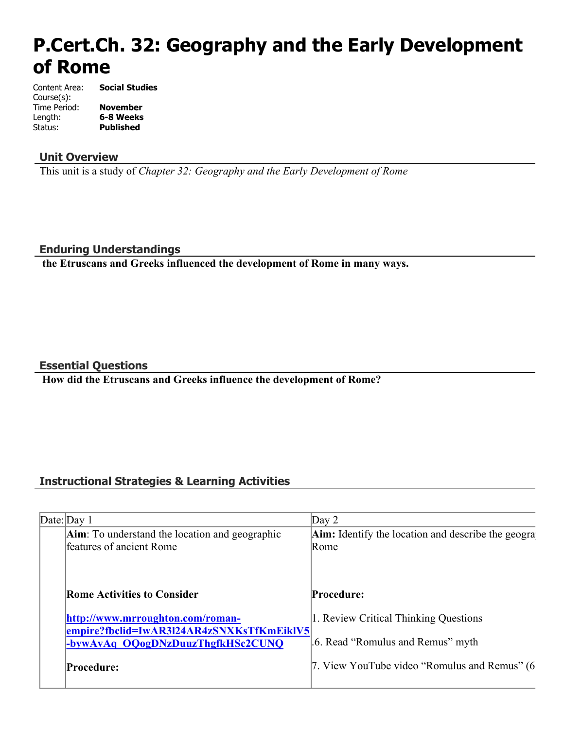# **P.Cert.Ch. 32: Geography and the Early Development of Rome**

Content Area: **Social Studies** Course(s): Time Period: **November** Length: **6-8 Weeks Published** 

#### **Unit Overview**

This unit is a study of *Chapter 32: Geography and the Early Development of Rome*

#### **Enduring Understandings**

 **the Etruscans and Greeks influenced the development of Rome in many ways.**

#### **Essential Questions**

 **How did the Etruscans and Greeks influence the development of Rome?**

### **Instructional Strategies & Learning Activities**

| Date: Day 1                                                                        | Day $2$                                            |
|------------------------------------------------------------------------------------|----------------------------------------------------|
| <b>Aim</b> : To understand the location and geographic<br>features of ancient Rome | Aim: Identify the location and describe the geogra |
|                                                                                    | Rome                                               |
|                                                                                    |                                                    |
| <b>Rome Activities to Consider</b>                                                 | <b>Procedure:</b>                                  |
| http://www.mrroughton.com/roman-<br>empire?fbclid=IwAR3l24AR4zSNXKsTfKmEiklV5      | 1. Review Critical Thinking Questions              |
| -bywAvAq OQogDNzDuuzThgfkHSc2CUNQ                                                  | .6. Read "Romulus and Remus" myth                  |
| <b>Procedure:</b>                                                                  | 7. View YouTube video "Romulus and Remus" (6       |
|                                                                                    |                                                    |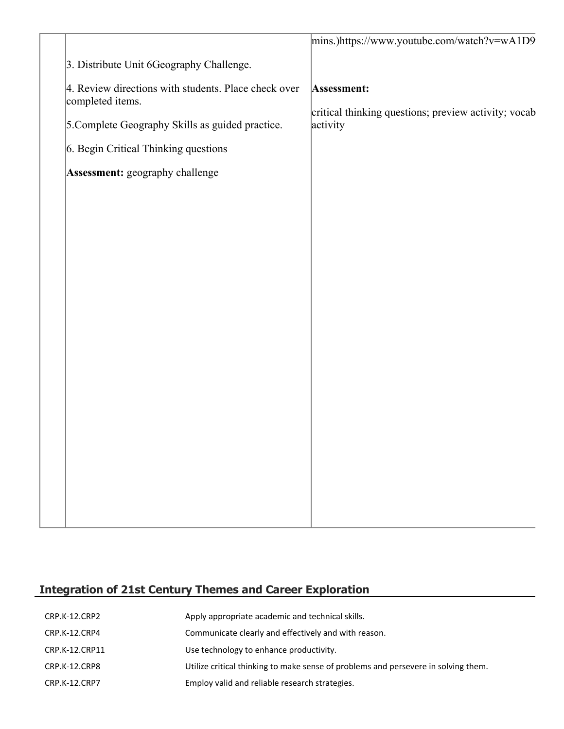|                                                                          | mins.)https://www.youtube.com/watch?v=wA1D9                         |
|--------------------------------------------------------------------------|---------------------------------------------------------------------|
| 3. Distribute Unit 6Geography Challenge.                                 |                                                                     |
| 4. Review directions with students. Place check over<br>completed items. | Assessment:<br>critical thinking questions; preview activity; vocab |
| 5. Complete Geography Skills as guided practice.                         | activity                                                            |
| 6. Begin Critical Thinking questions                                     |                                                                     |
| Assessment: geography challenge                                          |                                                                     |
|                                                                          |                                                                     |
|                                                                          |                                                                     |
|                                                                          |                                                                     |
|                                                                          |                                                                     |
|                                                                          |                                                                     |
|                                                                          |                                                                     |
|                                                                          |                                                                     |
|                                                                          |                                                                     |
|                                                                          |                                                                     |
|                                                                          |                                                                     |
|                                                                          |                                                                     |
|                                                                          |                                                                     |
|                                                                          |                                                                     |
|                                                                          |                                                                     |

# **Integration of 21st Century Themes and Career Exploration**

| CRP.K-12.CRP2  | Apply appropriate academic and technical skills.                                   |
|----------------|------------------------------------------------------------------------------------|
| CRP.K-12.CRP4  | Communicate clearly and effectively and with reason.                               |
| CRP.K-12.CRP11 | Use technology to enhance productivity.                                            |
| CRP.K-12.CRP8  | Utilize critical thinking to make sense of problems and persevere in solving them. |
| CRP.K-12.CRP7  | Employ valid and reliable research strategies.                                     |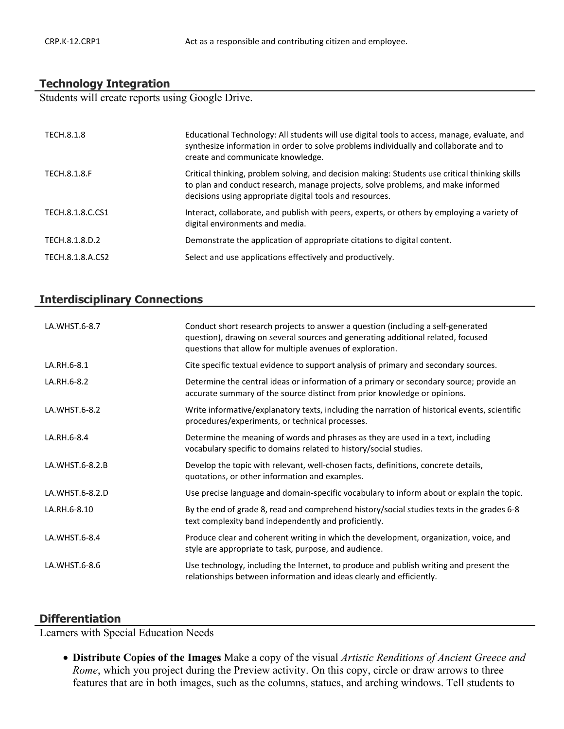#### **Technology Integration**

Students will create reports using Google Drive.

| TECH.8.1.8          | Educational Technology: All students will use digital tools to access, manage, evaluate, and<br>synthesize information in order to solve problems individually and collaborate and to<br>create and communicate knowledge.                     |
|---------------------|------------------------------------------------------------------------------------------------------------------------------------------------------------------------------------------------------------------------------------------------|
| <b>TECH.8.1.8.F</b> | Critical thinking, problem solving, and decision making: Students use critical thinking skills<br>to plan and conduct research, manage projects, solve problems, and make informed<br>decisions using appropriate digital tools and resources. |
| TECH.8.1.8.C.CS1    | Interact, collaborate, and publish with peers, experts, or others by employing a variety of<br>digital environments and media.                                                                                                                 |
| TECH.8.1.8.D.2      | Demonstrate the application of appropriate citations to digital content.                                                                                                                                                                       |
| TECH.8.1.8.A.CS2    | Select and use applications effectively and productively.                                                                                                                                                                                      |

# **Interdisciplinary Connections**

| LA.WHST.6-8.7   | Conduct short research projects to answer a question (including a self-generated<br>question), drawing on several sources and generating additional related, focused<br>questions that allow for multiple avenues of exploration. |
|-----------------|-----------------------------------------------------------------------------------------------------------------------------------------------------------------------------------------------------------------------------------|
| LA.RH.6-8.1     | Cite specific textual evidence to support analysis of primary and secondary sources.                                                                                                                                              |
| LA.RH.6-8.2     | Determine the central ideas or information of a primary or secondary source; provide an<br>accurate summary of the source distinct from prior knowledge or opinions.                                                              |
| LA.WHST.6-8.2   | Write informative/explanatory texts, including the narration of historical events, scientific<br>procedures/experiments, or technical processes.                                                                                  |
| LA.RH.6-8.4     | Determine the meaning of words and phrases as they are used in a text, including<br>vocabulary specific to domains related to history/social studies.                                                                             |
| LA.WHST.6-8.2.B | Develop the topic with relevant, well-chosen facts, definitions, concrete details,<br>quotations, or other information and examples.                                                                                              |
| LA.WHST.6-8.2.D | Use precise language and domain-specific vocabulary to inform about or explain the topic.                                                                                                                                         |
| LA.RH.6-8.10    | By the end of grade 8, read and comprehend history/social studies texts in the grades 6-8<br>text complexity band independently and proficiently.                                                                                 |
| LA.WHST.6-8.4   | Produce clear and coherent writing in which the development, organization, voice, and<br>style are appropriate to task, purpose, and audience.                                                                                    |
| LA.WHST.6-8.6   | Use technology, including the Internet, to produce and publish writing and present the<br>relationships between information and ideas clearly and efficiently.                                                                    |

#### **Differentiation**

Learners with Special Education Needs

 **Distribute Copies of the Images** Make a copy of the visual *Artistic Renditions of Ancient Greece and Rome*, which you project during the Preview activity. On this copy, circle or draw arrows to three features that are in both images, such as the columns, statues, and arching windows. Tell students to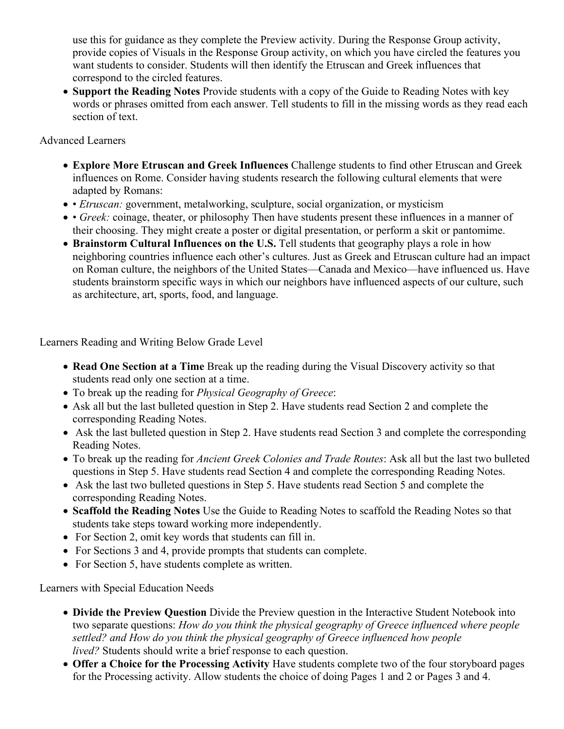use this for guidance as they complete the Preview activity. During the Response Group activity, provide copies of Visuals in the Response Group activity, on which you have circled the features you want students to consider. Students will then identify the Etruscan and Greek influences that correspond to the circled features.

 **Support the Reading Notes** Provide students with a copy of the Guide to Reading Notes with key words or phrases omitted from each answer. Tell students to fill in the missing words as they read each section of text.

#### Advanced Learners

- **Explore More Etruscan and Greek Influences** Challenge students to find other Etruscan and Greek influences on Rome. Consider having students research the following cultural elements that were adapted by Romans:
- *Etruscan:* government, metalworking, sculpture, social organization, or mysticism
- *Greek:* coinage, theater, or philosophy Then have students present these influences in a manner of their choosing. They might create a poster or digital presentation, or perform a skit or pantomime.
- **Brainstorm Cultural Influences on the U.S.** Tell students that geography plays a role in how neighboring countries influence each other's cultures. Just as Greek and Etruscan culture had an impact on Roman culture, the neighbors of the United States—Canada and Mexico—have influenced us. Have students brainstorm specific ways in which our neighbors have influenced aspects of our culture, such as architecture, art, sports, food, and language.

Learners Reading and Writing Below Grade Level

- **Read One Section at a Time** Break up the reading during the Visual Discovery activity so that students read only one section at a time.
- To break up the reading for *Physical Geography of Greece*:
- Ask all but the last bulleted question in Step 2. Have students read Section 2 and complete the corresponding Reading Notes.
- Ask the last bulleted question in Step 2. Have students read Section 3 and complete the corresponding Reading Notes.
- To break up the reading for *Ancient Greek Colonies and Trade Routes*: Ask all but the last two bulleted questions in Step 5. Have students read Section 4 and complete the corresponding Reading Notes.
- Ask the last two bulleted questions in Step 5. Have students read Section 5 and complete the corresponding Reading Notes.
- **Scaffold the Reading Notes** Use the Guide to Reading Notes to scaffold the Reading Notes so that students take steps toward working more independently.
- For Section 2, omit key words that students can fill in.
- For Sections 3 and 4, provide prompts that students can complete.
- For Section 5, have students complete as written.

Learners with Special Education Needs

- **Divide the Preview Question** Divide the Preview question in the Interactive Student Notebook into two separate questions: *How do you think the physical geography of Greece influenced where people settled? and How do you think the physical geography of Greece influenced how people lived?* Students should write a brief response to each question.
- **Offer a Choice for the Processing Activity** Have students complete two of the four storyboard pages for the Processing activity. Allow students the choice of doing Pages 1 and 2 or Pages 3 and 4.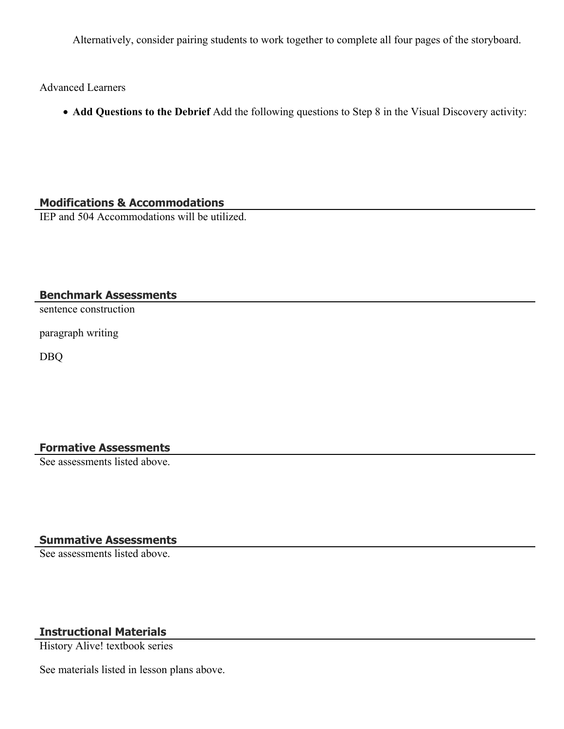Alternatively, consider pairing students to work together to complete all four pages of the storyboard.

Advanced Learners

**Add Questions to the Debrief** Add the following questions to Step 8 in the Visual Discovery activity:

#### **Modifications & Accommodations**

IEP and 504 Accommodations will be utilized.

#### **Benchmark Assessments**

sentence construction

paragraph writing

DBQ

# **Formative Assessments**

See assessments listed above.

# **Summative Assessments**

See assessments listed above.

# **Instructional Materials**

History Alive! textbook series

See materials listed in lesson plans above.